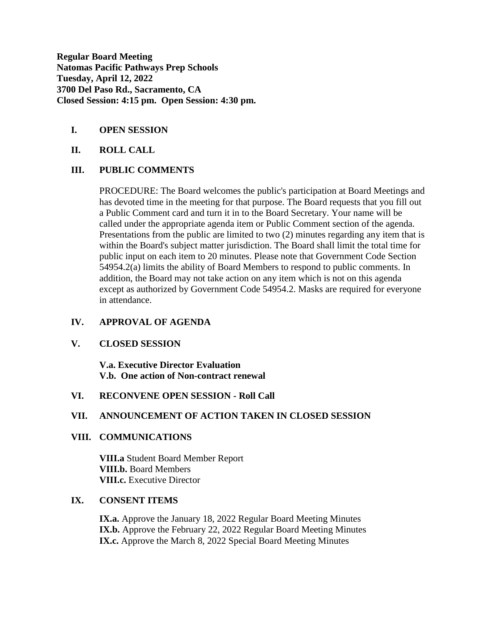**Regular Board Meeting Natomas Pacific Pathways Prep Schools Tuesday, April 12, 2022 3700 Del Paso Rd., Sacramento, CA Closed Session: 4:15 pm. Open Session: 4:30 pm.**

# **I. OPEN SESSION**

## **II. ROLL CALL**

# **III. PUBLIC COMMENTS**

PROCEDURE: The Board welcomes the public's participation at Board Meetings and has devoted time in the meeting for that purpose. The Board requests that you fill out a Public Comment card and turn it in to the Board Secretary. Your name will be called under the appropriate agenda item or Public Comment section of the agenda. Presentations from the public are limited to two (2) minutes regarding any item that is within the Board's subject matter jurisdiction. The Board shall limit the total time for public input on each item to 20 minutes. Please note that Government Code Section 54954.2(a) limits the ability of Board Members to respond to public comments. In addition, the Board may not take action on any item which is not on this agenda except as authorized by Government Code 54954.2. Masks are required for everyone in attendance.

# **IV. APPROVAL OF AGENDA**

## **V. CLOSED SESSION**

**V.a. Executive Director Evaluation V.b. One action of Non-contract renewal** 

## **VI. RECONVENE OPEN SESSION - Roll Call**

## **VII. ANNOUNCEMENT OF ACTION TAKEN IN CLOSED SESSION**

## **VIII. COMMUNICATIONS**

**VIII.a** Student Board Member Report **VIII.b.** Board Members **VIII.c.** Executive Director

### **IX. CONSENT ITEMS**

**IX.a.** Approve the January 18, 2022 Regular Board Meeting Minutes **IX.b.** Approve the February 22, 2022 Regular Board Meeting Minutes **IX.c.** Approve the March 8, 2022 Special Board Meeting Minutes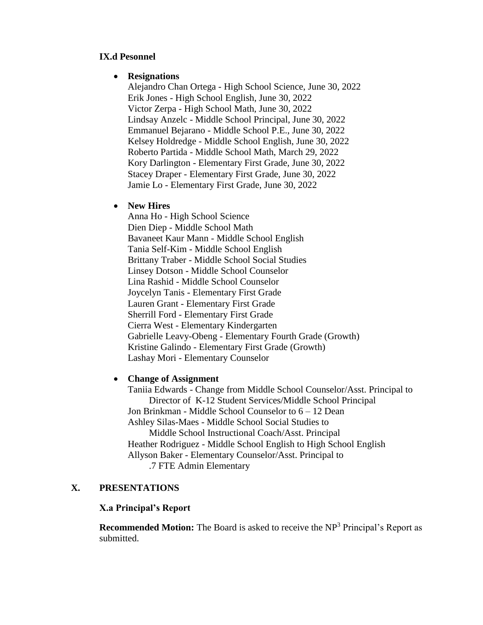## **IX.d Pesonnel**

# **Resignations**

Alejandro Chan Ortega - High School Science, June 30, 2022 Erik Jones - High School English, June 30, 2022 Victor Zerpa - High School Math, June 30, 2022 Lindsay Anzelc - Middle School Principal, June 30, 2022 Emmanuel Bejarano - Middle School P.E., June 30, 2022 Kelsey Holdredge - Middle School English, June 30, 2022 Roberto Partida - Middle School Math, March 29, 2022 Kory Darlington - Elementary First Grade, June 30, 2022 Stacey Draper - Elementary First Grade, June 30, 2022 Jamie Lo - Elementary First Grade, June 30, 2022

## **New Hires**

Anna Ho - High School Science Dien Diep - Middle School Math Bavaneet Kaur Mann - Middle School English Tania Self-Kim - Middle School English Brittany Traber - Middle School Social Studies Linsey Dotson - Middle School Counselor Lina Rashid - Middle School Counselor Joycelyn Tanis - Elementary First Grade Lauren Grant - Elementary First Grade Sherrill Ford - Elementary First Grade Cierra West - Elementary Kindergarten Gabrielle Leavy-Obeng - Elementary Fourth Grade (Growth) Kristine Galindo - Elementary First Grade (Growth) Lashay Mori - Elementary Counselor

## **Change of Assignment**

Taniia Edwards - Change from Middle School Counselor/Asst. Principal to Director of K-12 Student Services/Middle School Principal Jon Brinkman - Middle School Counselor to 6 – 12 Dean Ashley Silas-Maes - Middle School Social Studies to Middle School Instructional Coach/Asst. Principal Heather Rodriguez - Middle School English to High School English Allyson Baker - Elementary Counselor/Asst. Principal to .7 FTE Admin Elementary

# **X. PRESENTATIONS**

# **X.a Principal's Report**

**Recommended Motion:** The Board is asked to receive the NP<sup>3</sup> Principal's Report as submitted.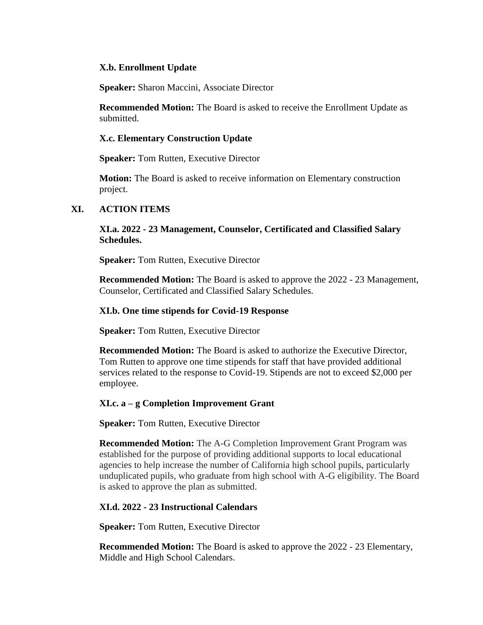### **X.b. Enrollment Update**

**Speaker:** Sharon Maccini, Associate Director

**Recommended Motion:** The Board is asked to receive the Enrollment Update as submitted.

### **X.c. Elementary Construction Update**

**Speaker:** Tom Rutten, Executive Director

**Motion:** The Board is asked to receive information on Elementary construction project.

## **XI. ACTION ITEMS**

**XI.a. 2022 - 23 Management, Counselor, Certificated and Classified Salary Schedules.**

**Speaker:** Tom Rutten, Executive Director

**Recommended Motion:** The Board is asked to approve the 2022 - 23 Management, Counselor, Certificated and Classified Salary Schedules.

#### **XI.b. One time stipends for Covid-19 Response**

**Speaker:** Tom Rutten, Executive Director

**Recommended Motion:** The Board is asked to authorize the Executive Director, Tom Rutten to approve one time stipends for staff that have provided additional services related to the response to Covid-19. Stipends are not to exceed \$2,000 per employee.

#### **XI.c. a – g Completion Improvement Grant**

**Speaker:** Tom Rutten, Executive Director

**Recommended Motion:** The A-G Completion Improvement Grant Program was established for the purpose of providing additional supports to local educational agencies to help increase the number of California high school pupils, particularly unduplicated pupils, who graduate from high school with A-G eligibility. The Board is asked to approve the plan as submitted.

#### **XI.d. 2022 - 23 Instructional Calendars**

**Speaker:** Tom Rutten, Executive Director

**Recommended Motion:** The Board is asked to approve the 2022 - 23 Elementary, Middle and High School Calendars.